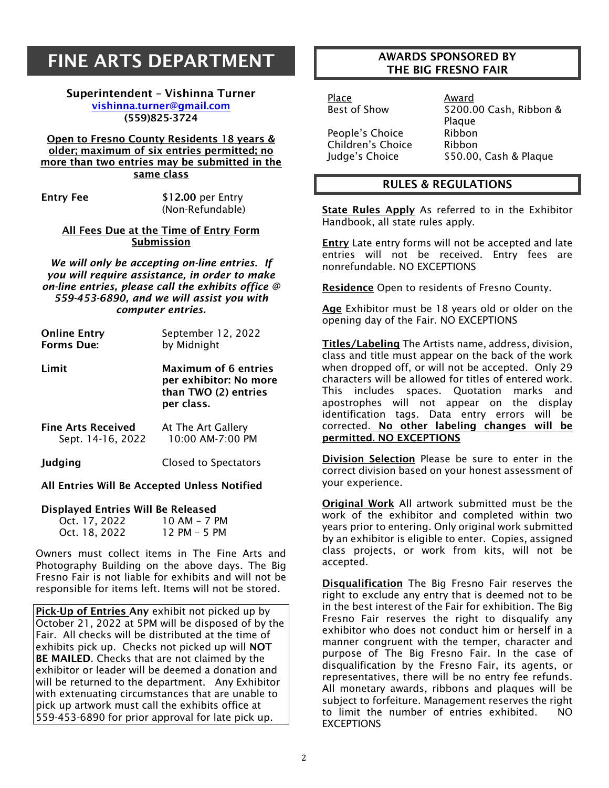# FINE ARTS DEPARTMENT

Superintendent – Vishinna Turner [vishinna.turner@gmail.com](mailto:artandphotoyvonne@gmail.com) (559)825-3724

Open to Fresno County Residents 18 years & older; maximum of six entries permitted; no more than two entries may be submitted in the same class

Entry Fee \$12.00 per Entry (Non-Refundable)

All Fees Due at the Time of Entry Form Submission

*We will only be accepting on-line entries. If you will require assistance, in order to make on-line entries, please call the exhibits office @ 559-453-6890, and we will assist you with computer entries.*

| <b>Online Entry</b>       | September 12, 2022                                                                          |
|---------------------------|---------------------------------------------------------------------------------------------|
| <b>Forms Due:</b>         | by Midnight                                                                                 |
| Limit                     | <b>Maximum of 6 entries</b><br>per exhibitor: No more<br>than TWO (2) entries<br>per class. |
| <b>Fine Arts Received</b> | At The Art Gallery                                                                          |
| Sept. 14-16, 2022         | 10:00 AM-7:00 PM                                                                            |
| Judging                   | Closed to Spectators                                                                        |

#### All Entries Will Be Accepted Unless Notified

#### Displayed Entries Will Be Released

| Oct. 17, 2022 | $10AM - 7PM$ |
|---------------|--------------|
| Oct. 18, 2022 | 12 PM - 5 PM |

Owners must collect items in The Fine Arts and Photography Building on the above days. The Big Fresno Fair is not liable for exhibits and will not be responsible for items left. Items will not be stored.

Pick-Up of Entries Any exhibit not picked up by October 21, 2022 at 5PM will be disposed of by the Fair. All checks will be distributed at the time of exhibits pick up. Checks not picked up will NOT BE MAILED. Checks that are not claimed by the exhibitor or leader will be deemed a donation and will be returned to the department. Any Exhibitor with extenuating circumstances that are unable to pick up artwork must call the exhibits office at 559-453-6890 for prior approval for late pick up.

## AWARDS SPONSORED BY THE BIG FRESNO FAIR

Place Award

People's Choice Bibbon Children's Choice Ribbon

\$200.00 Cash, Ribbon & Plaque Judge's Choice \$50.00, Cash & Plaque

## RULES & REGULATIONS

State Rules Apply As referred to in the Exhibitor Handbook, all state rules apply.

**Entry** Late entry forms will not be accepted and late entries will not be received. Entry fees are nonrefundable. NO EXCEPTIONS

Residence Open to residents of Fresno County.

Age Exhibitor must be 18 years old or older on the opening day of the Fair. NO EXCEPTIONS

Titles/Labeling The Artists name, address, division, class and title must appear on the back of the work when dropped off, or will not be accepted. Only 29 characters will be allowed for titles of entered work. This includes spaces. Quotation marks and apostrophes will not appear on the display identification tags. Data entry errors will be corrected. No other labeling changes will be permitted. NO EXCEPTIONS

Division Selection Please be sure to enter in the correct division based on your honest assessment of your experience.

Original Work All artwork submitted must be the work of the exhibitor and completed within two years prior to entering. Only original work submitted by an exhibitor is eligible to enter. Copies, assigned class projects, or work from kits, will not be accepted.

Disqualification The Big Fresno Fair reserves the right to exclude any entry that is deemed not to be in the best interest of the Fair for exhibition. The Big Fresno Fair reserves the right to disqualify any exhibitor who does not conduct him or herself in a manner congruent with the temper, character and purpose of The Big Fresno Fair. In the case of disqualification by the Fresno Fair, its agents, or representatives, there will be no entry fee refunds. All monetary awards, ribbons and plaques will be subject to forfeiture. Management reserves the right to limit the number of entries exhibited. NO **EXCEPTIONS**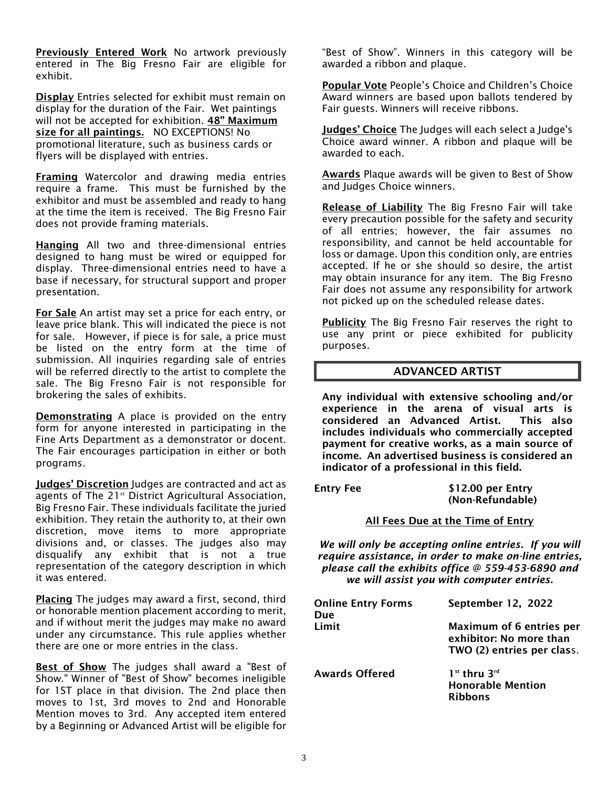**Previously Entered Work** No artwork previously entered in The Big Fresno Fair are eligible for exhibit.

Display Entries selected for exhibit must remain on display for the duration of the Fair. Wet paintings will not be accepted for exhibition. 48" Maximum size for all paintings. NO EXCEPTIONS! No promotional literature, such as business cards or flyers will be displayed with entries.

Framing Watercolor and drawing media entries require a frame. This must be furnished by the exhibitor and must be assembled and ready to hang at the time the item is received. The Big Fresno Fair does not provide framing materials.

Hanging All two and three-dimensional entries designed to hang must be wired or equipped for display. Three-dimensional entries need to have a base if necessary, for structural support and proper presentation.

For Sale An artist may set a price for each entry, or leave price blank. This will indicated the piece is not for sale. However, if piece is for sale, a price must be listed on the entry form at the time of submission. All inquiries regarding sale of entries will be referred directly to the artist to complete the sale. The Big Fresno Fair is not responsible for brokering the sales of exhibits.

**Demonstrating** A place is provided on the entry form for anyone interested in participating in the Fine Arts Department as a demonstrator or docent. The Fair encourages participation in either or both programs.

Judges' Discretion Judges are contracted and act as agents of The 21<sup>st</sup> District Agricultural Association, Big Fresno Fair. These individuals facilitate the juried exhibition. They retain the authority to, at their own discretion, move items to more appropriate divisions and, or classes. The judges also may disqualify any exhibit that is not a true representation of the category description in which it was entered.

Placing The judges may award a first, second, third or honorable mention placement according to merit, and if without merit the judges may make no award under any circumstance. This rule applies whether there are one or more entries in the class.

Best of Show The judges shall award a "Best of Show." Winner of "Best of Show" becomes ineligible for 1ST place in that division. The 2nd place then moves to 1st, 3rd moves to 2nd and Honorable Mention moves to 3rd. Any accepted item entered by a Beginning or Advanced Artist will be eligible for

"Best of Show". Winners in this category will be awarded a ribbon and plaque.

Popular Vote People's Choice and Children's Choice Award winners are based upon ballots tendered by Fair guests. Winners will receive ribbons.

Judges' Choice The Judges will each select a Judge's Choice award winner. A ribbon and plaque will be awarded to each.

Awards Plaque awards will be given to Best of Show and Judges Choice winners.

Release of Liability The Big Fresno Fair will take every precaution possible for the safety and security of all entries; however, the fair assumes no responsibility, and cannot be held accountable for loss or damage. Upon this condition only, are entries accepted. If he or she should so desire, the artist may obtain insurance for any item. The Big Fresno Fair does not assume any responsibility for artwork not picked up on the scheduled release dates.

**Publicity** The Big Fresno Fair reserves the right to use any print or piece exhibited for publicity purposes.

## ADVANCED ARTIST

Any individual with extensive schooling and/or experience in the arena of visual arts is considered an Advanced Artist. This also includes individuals who commercially accepted payment for creative works, as a main source of income. An advertised business is considered an indicator of a professional in this field.

Entry Fee \$12.00 per Entry (Non-Refundable)

All Fees Due at the Time of Entry

*We will only be accepting online entries. If you will require assistance, in order to make on-line entries, please call the exhibits office @ 559-453-6890 and we will assist you with computer entries.*

| <b>Online Entry Forms</b><br>Due | September 12, 2022                                                                |
|----------------------------------|-----------------------------------------------------------------------------------|
| Limit                            | Maximum of 6 entries per<br>exhibitor: No more than<br>TWO (2) entries per class. |
| <b>Awards Offered</b>            | $1st$ thru $3rd$<br><b>Honorable Mention</b><br><b>Ribbons</b>                    |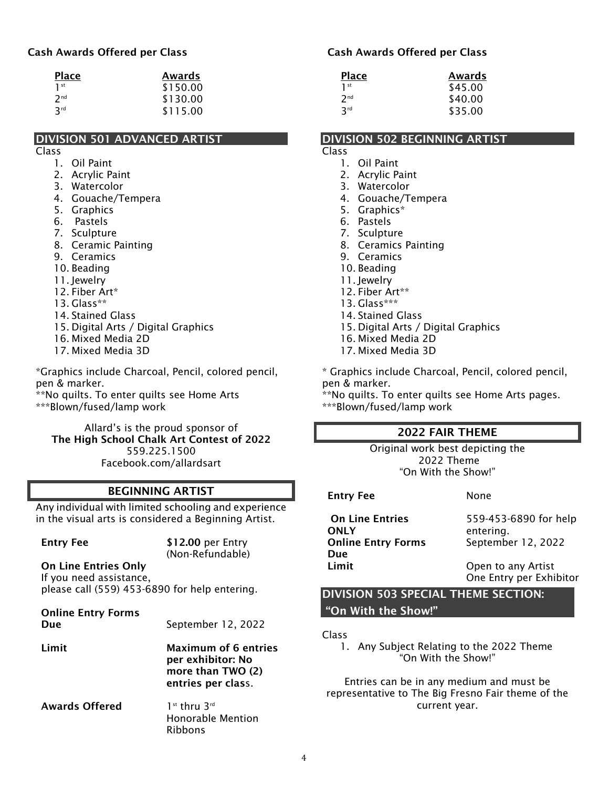## Cash Awards Offered per Class

| <b>Place</b>    | Awards   |
|-----------------|----------|
| 1 <sup>st</sup> | \$150.00 |
| 2 <sub>nd</sub> | \$130.00 |
| 3 <sup>rd</sup> | \$115.00 |

## DIVISION 501 ADVANCED ARTIST

#### Class

- 1. Oil Paint
- 2. Acrylic Paint
- 3. Watercolor
- 4. Gouache/Tempera
- 5. Graphics
- 6. Pastels
- 7. Sculpture
- 8. Ceramic Painting
- 9. Ceramics
- 10. Beading
- 11. Jewelry
- 12. Fiber Art\*
- 13. Glass\*\*
- 14. Stained Glass
- 15. Digital Arts / Digital Graphics
- 16. Mixed Media 2D
- 17. Mixed Media 3D

\*Graphics include Charcoal, Pencil, colored pencil, pen & marker.

\*\*No quilts. To enter quilts see Home Arts \*\*\*Blown/fused/lamp work

Allard's is the proud sponsor of The High School Chalk Art Contest of 2022 559.225.1500 Facebook.com/allardsart

# BEGINNING ARTIST

Any individual with limited schooling and experience in the visual arts is considered a Beginning Artist.

| <b>Entry Fee</b>                                                                                        | \$12.00 per Entry<br>(Non-Refundable)                                                       |
|---------------------------------------------------------------------------------------------------------|---------------------------------------------------------------------------------------------|
| <b>On Line Entries Only</b><br>If you need assistance,<br>please call (559) 453-6890 for help entering. |                                                                                             |
| <b>Online Entry Forms</b><br>Due                                                                        | September 12, 2022                                                                          |
| Limit                                                                                                   | <b>Maximum of 6 entries</b><br>per exhibitor: No<br>more than TWO (2)<br>entries per class. |
| <b>Awards Offered</b>                                                                                   | $1st$ thru $3rd$<br>Honorable Mention<br>Ribbons                                            |

#### Cash Awards Offered per Class

| <b>Place</b>    | Awards  |
|-----------------|---------|
| $1$ st          | \$45.00 |
| 2 <sub>nd</sub> | \$40.00 |
| 3rd             | \$35.00 |

#### DIVISION 502 BEGINNING ARTIST

## Class

- 1. Oil Paint
- 2. Acrylic Paint
- 3. Watercolor
- 4. Gouache/Tempera
- 5. Graphics\*
- 6. Pastels
- 7. Sculpture
- 8. Ceramics Painting
- 9. Ceramics
- 10. Beading
- 11. Jewelry
- 12. Fiber Art\*\*
- 13. Glass\*\*\*
- 14. Stained Glass
- 15. Digital Arts / Digital Graphics
- 16. Mixed Media 2D
- 17. Mixed Media 3D

\* Graphics include Charcoal, Pencil, colored pencil, pen & marker.

\*\*No quilts. To enter quilts see Home Arts pages. \*\*\*Blown/fused/lamp work

# 2022 FAIR THEME

Original work best depicting the 2022 Theme "On With the Show!"

Entry Fee None On Line Entries **ONLY** 559-453-6890 for help entering. Online Entry Forms Due September 12, 2022 Limit Open to any Artist One Entry per Exhibitor

DIVISION 503 SPECIAL THEME SECTION: "On With the Show!"

Class

1. Any Subject Relating to the 2022 Theme "On With the Show!"

Entries can be in any medium and must be representative to The Big Fresno Fair theme of the current year.